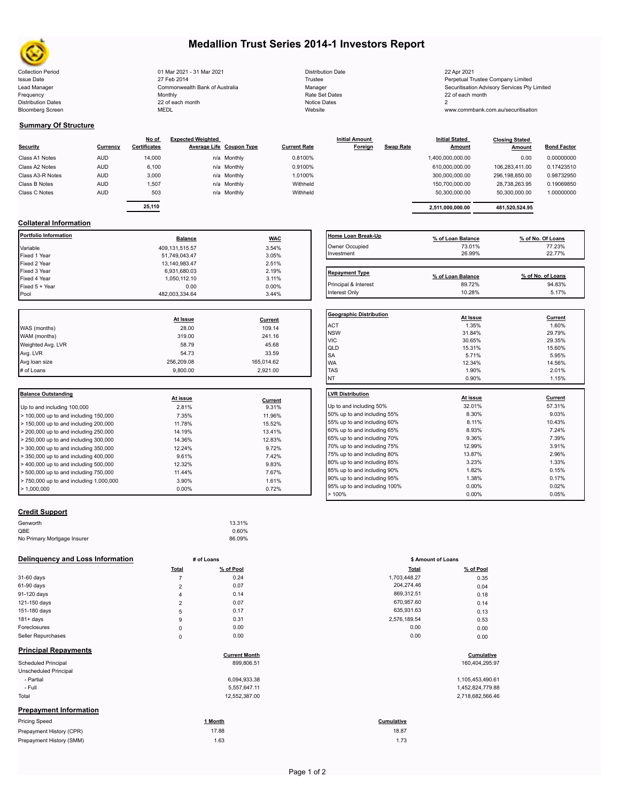

Bloomberg Screen

# **Medallion Trust Series 2014-1 Investors Report**

Collection Period Distribution Date 22 Apr 2021 01 Mar 2021 - 31 Mar 2021 Issue Date **Internal Company 2001-19 12 Trustee** Trustee Trustee Trustee Perpetual Trustee Company Limited Lead Manager **Manager Securitisation Advisory Services Pty Limited**<br>
Monthly Monthly Monthly<br>
Frequency 22 of each month 22 of each month Frequency 22 of each month Monthly Monthly Rate Set Dates Rate Set Dates 22 of each month Distribution Dates **Notice 2** and the control of the 22 of each month **Notice Dates** Notice Dates 2 27 Feb 2014 Commonwealth Bank of Australia Monthly 22 of each month

| <b>Distribution Date</b> |
|--------------------------|
| Trustee                  |
| Manager                  |
| Rate Set Dates           |
| Notice Dates             |
| Website                  |

www.commbank.com.au/securitisation

## **Summary Of Structure**

| <b>Security</b>  | Currency   | No of<br><b>Certificates</b> | <b>Expected Weighted</b><br>Average Life Coupon Type |             | <b>Current Rate</b> | <b>Initial Amount</b><br>Foreign | <b>Swap Rate</b> | <b>Initial Stated</b><br><b>Amount</b> | <b>Closing Stated</b><br>Amount | <b>Bond Factor</b> |
|------------------|------------|------------------------------|------------------------------------------------------|-------------|---------------------|----------------------------------|------------------|----------------------------------------|---------------------------------|--------------------|
| Class A1 Notes   | <b>AUD</b> | 14,000                       |                                                      | n/a Monthly | 0.8100%             |                                  |                  | 1,400,000,000.00                       | 0.00                            | 0.00000000         |
| Class A2 Notes   | <b>AUD</b> | 6,100                        |                                                      | n/a Monthly | 0.9100%             |                                  |                  | 610,000,000.00                         | 106.283.411.00                  | 0.17423510         |
| Class A3-R Notes | <b>AUD</b> | 3,000                        |                                                      | n/a Monthly | 1.0100%             |                                  |                  | 300,000,000.00                         | 296,198,850.00                  | 0.98732950         |
| Class B Notes    | <b>AUD</b> | 1.507                        |                                                      | n/a Monthly | Withheld            |                                  |                  | 150,700,000.00                         | 28,738,263.95                   | 0.19069850         |
| Class C Notes    | <b>AUD</b> | 503                          |                                                      | n/a Monthly | Withheld            |                                  |                  | 50.300.000.00                          | 50.300.000.00                   | 1.00000000         |
|                  |            |                              |                                                      |             |                     |                                  |                  |                                        |                                 |                    |

| <u>No of</u><br>ificates: | <b>Expected Weighted</b> | Average Life Coupon Type | <b>Current Rate</b> | <b>Initial Amount</b><br>Foreign | Swap Rate | <b>Initial Stated</b><br>Amount | <b>Closing Stated</b><br>Amount | <b>Bond Factor</b> |  |
|---------------------------|--------------------------|--------------------------|---------------------|----------------------------------|-----------|---------------------------------|---------------------------------|--------------------|--|
| 14.000                    |                          | n/a Monthly              | 0.8100%             |                                  |           | 1,400,000,000.00                | 0.00                            | 0.00000000         |  |
| 6.100                     |                          | n/a Monthly              | 0.9100%             |                                  |           | 610.000.000.00                  | 106.283.411.00                  | 0.17423510         |  |
| 3.000                     |                          | n/a Monthly              | 1.0100%             |                                  |           | 300.000.000.00                  | 296.198.850.00                  | 0.98732950         |  |
| 1.507                     |                          | n/a Monthly              | Withheld            |                                  |           | 150.700.000.00                  | 28.738.263.95                   | 0.19069850         |  |
| 503                       |                          | n/a Monthly              | Withheld            |                                  |           | 50.300.000.00                   | 50.300.000.00                   | 1.00000000         |  |
| 25.110                    |                          |                          |                     |                                  |           | 2.511.000.000.00                | 481.520.524.95                  |                    |  |

# **Collateral Information**

| Portfolio Information | <b>Balance</b> | <b>WAC</b> | Home Loan Break-Up    | % of Loan Balance | % of No. Of Loans |
|-----------------------|----------------|------------|-----------------------|-------------------|-------------------|
| Variable              | 409,131,515.57 | 3.54%      | Owner Occupied        | 73.01%            | 77.23%            |
| Fixed 1 Year          | 51,749,043.47  | 3.05%      | Investment            | 26.99%            | 22.77%            |
| Fixed 2 Year          | 13,140,983.47  | 2.51%      |                       |                   |                   |
| Fixed 3 Year          | 6,931,680.03   | 2.19%      | <b>Repayment Type</b> |                   |                   |
| Fixed 4 Year          | 1,050,112.10   | 3.11%      |                       | % of Loan Balance | % of No. of Loans |
| Fixed 5 + Year        | 0.00           | $0.00\%$   | Principal & Interest  | 89.72%            | 94.83%            |
| Pool                  | 482,003,334.64 | 3.44%      | Interest Only         | 10.28%            | 5.17%             |

|                   |            |            | Geo              |
|-------------------|------------|------------|------------------|
|                   | At Issue   | Current    |                  |
| WAS (months)      | 28.00      | 109.14     | AC <sup>-</sup>  |
| WAM (months)      | 319.00     | 241.16     | <b>NS</b><br>VIC |
| Weighted Avg. LVR | 58.79      | 45.68      | QLI              |
| Avg. LVR          | 54.73      | 33.59      | <b>SA</b>        |
| Avg loan size     | 256.209.08 | 165,014.62 | <b>WA</b>        |
| # of Loans        | 9.800.00   | 2,921.00   | <b>TAS</b>       |
|                   |            |            |                  |

| Balance Outstanding                     | At issue | Current | <b>ILVR Distribution</b> |
|-----------------------------------------|----------|---------|--------------------------|
| Up to and including 100,000             | 2.81%    | 9.31%   | Up to and including      |
| > 100,000 up to and including 150,000   | 7.35%    | 11.96%  | 50% up to and incl       |
| > 150,000 up to and including 200,000   | 11.78%   | 15.52%  | 55% up to and incl       |
| > 200,000 up to and including 250,000   | 14.19%   | 13.41%  | 60% up to and incl       |
| $> 250,000$ up to and including 300,000 | 14.36%   | 12.83%  | 65% up to and incl       |
| $>$ 300,000 up to and including 350,000 | 12.24%   | 9.72%   | 70% up to and incl       |
| $>$ 350,000 up to and including 400,000 | 9.61%    | 7.42%   | 75% up to and incl       |
| > 400,000 up to and including 500,000   | 12.32%   | 9.83%   | 80% up to and incl       |
| $> 500,000$ up to and including 750,000 | 11.44%   | 7.67%   | 85% up to and incl       |
| > 750,000 up to and including 1,000,000 | 3.90%    | 1.61%   | 90% up to and incl       |
| > 1.000.000                             | $0.00\%$ | 0.72%   | 95% up to and incl       |
|                                         |          |         |                          |

## **Home Loan Break-Up % of Loan Balance % of No. Of Loans** Owner Occupied 73.01% 77.23% 77.23% 77.23% 77.23% Investment 26.99% 22.77% Repayment Type **Repayment Type % of Loan Balance % of No. of Loans**

| <b>Geographic Distribution</b> | At Issue | Current |
|--------------------------------|----------|---------|
| <b>ACT</b>                     | 1.35%    | 1.60%   |
| <b>NSW</b>                     | 31.84%   | 29.79%  |
| <b>VIC</b>                     | 30.65%   | 29.35%  |
| QLD                            | 15.31%   | 15.60%  |
| <b>SA</b>                      | 5.71%    | 5.95%   |
| <b>WA</b>                      | 12.34%   | 14.56%  |
| <b>TAS</b>                     | 1.90%    | 2.01%   |
| NT                             | 0.90%    | 1.15%   |
| <b>LVR Distribution</b>        | At issue | Current |
| Up to and including 50%        | 32.01%   | 57.31%  |
| 50% up to and including 55%    | 8.30%    | 9.03%   |
| 55% up to and including 60%    | 8.11%    | 10.43%  |
| 60% up to and including 65%    | 8.93%    | 7.24%   |
| 65% up to and including 70%    | 9.36%    | 7.39%   |
| 70% up to and including 75%    | 12.99%   | 3.91%   |
| 75% up to and including 80%    | 13.87%   | 2.96%   |
| 80% up to and including 85%    | 3.23%    | 1.33%   |
| 85% up to and including 90%    | 1.82%    | 0.15%   |
| 90% up to and including 95%    | 1.38%    | 0.17%   |
| 95% up to and including 100%   | 0.00%    | 0.02%   |
| >100%                          | 0.00%    | 0.05%   |

## **Credit Support**

| Genworth                    | 13.31% |  |
|-----------------------------|--------|--|
| QBE                         | 0.60%  |  |
| No Primary Mortgage Insurer | 86.09% |  |
|                             |        |  |

### **Delinquency and Loss Information # of Loans**

|                               | Total          | % of Pool            | <b>Total</b> | % of Pool        |
|-------------------------------|----------------|----------------------|--------------|------------------|
| 31-60 days                    | $\overline{7}$ | 0.24                 | 1,703,448.27 | 0.35             |
| 61-90 days                    | $\overline{2}$ | 0.07                 | 204,274.46   | 0.04             |
| 91-120 days                   | 4              | 0.14                 | 869,312.51   | 0.18             |
| 121-150 days                  | $\overline{2}$ | 0.07                 | 670,957.60   | 0.14             |
| 151-180 days                  | 5              | 0.17                 | 635,931.63   | 0.13             |
| 181+ days                     | 9              | 0.31                 | 2,576,189.54 | 0.53             |
| Foreclosures                  | $\mathbf 0$    | 0.00                 | 0.00         | 0.00             |
| Seller Repurchases            | $\mathbf 0$    | 0.00                 | 0.00         | 0.00             |
| <b>Principal Repayments</b>   |                | <b>Current Month</b> |              | Cumulative       |
| <b>Scheduled Principal</b>    |                | 899,806.51           |              | 160,404,295.97   |
| Unscheduled Principal         |                |                      |              |                  |
| - Partial                     |                | 6,094,933.38         |              | 1,105,453,490.61 |
| - Full                        |                | 5,557,647.11         |              | 1,452,824,779.88 |
| Total                         |                | 12,552,387.00        |              | 2,718,682,566.46 |
| <b>Prepayment Information</b> |                |                      |              |                  |
| <b>Pricing Speed</b>          |                | 1 Month              | Cumulative   |                  |
| Prepayment History (CPR)      |                | 17.88                | 18.87        |                  |
| Prepayment History (SMM)      |                | 1.63                 | 1.73         |                  |

|                | # of Loans           | \$ Amount of Loans |                |
|----------------|----------------------|--------------------|----------------|
| Total          | % of Pool            | <b>Total</b>       | % of Pool      |
| $\overline{7}$ | 0.24                 | 1,703,448.27       | 0.35           |
| $\overline{2}$ | 0.07                 | 204,274.46         | 0.04           |
| 4              | 0.14                 | 869,312.51         | 0.18           |
| $\overline{2}$ | 0.07                 | 670,957.60         | 0.14           |
| 5              | 0.17                 | 635,931.63         | 0.13           |
| 9              | 0.31                 | 2,576,189.54       | 0.53           |
| 0              | 0.00                 | 0.00               | 0.00           |
| 0              | 0.00                 | 0.00               | 0.00           |
|                | <b>Current Month</b> |                    | Cumulative     |
|                | 899,806.51           |                    | 160,404,295.97 |

| 1,105,453,490.61 |
|------------------|
| 1,452,824,779.88 |
| 2,718,682,566.46 |